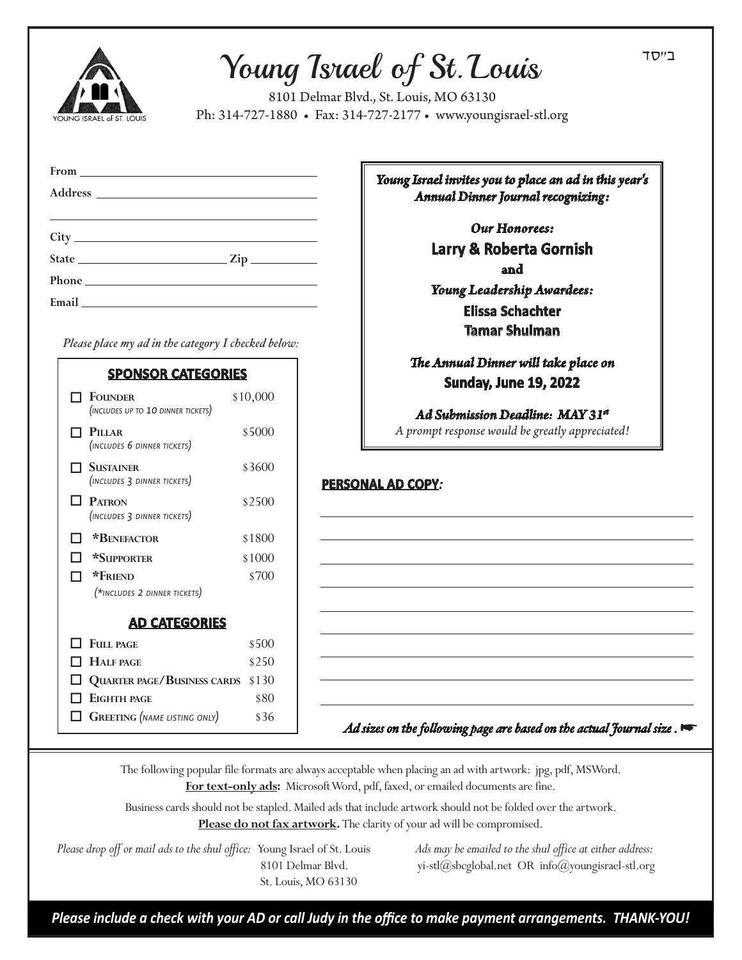## Young Israel of St. Louis

8101 Delmar Blvd., St. Louis, MO 63130 Ph: 314-727-1880 • Fax: 314-727-2177 • www.youngisrael-stl.org

| From 2000 |
|-----------|
|           |
|           |
|           |
|           |
|           |
|           |

 *Please place my ad in the category I checked below:*

| <b>SPONSOR CATEGORIES</b> |                                                      |          |
|---------------------------|------------------------------------------------------|----------|
|                           | $\Box$ Founder<br>(INCLUDES UP TO 10 DINNER TICKETS) | \$10,000 |
|                           | PILLAR<br>(INCLUDES 6 DINNER TICKETS)                | \$5000   |
|                           | 7 Sustainer<br>(INCLUDES 3 DINNER TICKETS)           | \$3600   |
|                           | <b>PATRON</b><br>(INCLUDES 3 DINNER TICKETS)         | \$2500   |
|                           | *BENEFACTOR                                          | \$1800   |
|                           | <b>*SUPPORTER</b>                                    | \$1000   |
|                           | *FRIEND                                              | \$700    |
|                           | (*INCLUDES 2 DINNER TICKETS)                         |          |
| <b>AD CATEGORIES</b>      |                                                      |          |
|                           | $\Box$ Full page                                     | \$500    |
|                           | <b>HALF PAGE</b>                                     | \$250    |
|                           | QUARTER PAGE/BUSINESS CARDS                          | \$130    |
|                           | <b>FIGHTH PAGE</b>                                   | \$80     |
|                           | <b>GREETING</b> (NAME LISTING ONLY)                  | \$36     |

*Young Israel invites you to place an ad in this year's Annual Dinner Journal recognizing:*

> *Our Honorees:* **Larry & Roberta Gornish** and *Young Leadership Awardees:* **Elissa Schachter Tamar Shulman**

*The Annual Dinner will take place on* **Sunday, June 19, 2022**

*Ad Submission Deadline: MAY 31st A prompt response would be greatly appreciated!*

## **PERSONAL AD COPY***:*

 *Ad sizes on the following page are based on the actual Journal size .* 

The following popular file formats are always acceptable when placing an ad with artwork: jpg, pdf, MSWord. **For text-only ads:** Microsoft Word, pdf, faxed, or emailed documents are fine.

Business cards should not be stapled. Mailed ads that include artwork should not be folded over the artwork. **Please do not fax artwork.** The clarity of your ad will be compromised.

 *Please drop off or mail ads to the shul office:* Young Israel of St. Louis *Ads may be emailed to the shul office at either address:*  St. Louis, MO 63130

8101 Delmar Blvd. yi-stl@sbcglobal.net OR info@youngisrael-stl.org

*Please include a check with your AD or call Judy in the office to make payment arrangements. THANK-YOU!*